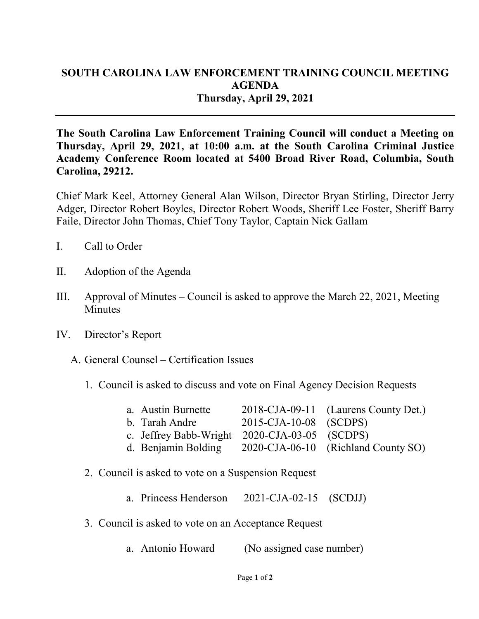## **SOUTH CAROLINA LAW ENFORCEMENT TRAINING COUNCIL MEETING AGENDA Thursday, April 29, 2021**

**The South Carolina Law Enforcement Training Council will conduct a Meeting on Thursday, April 29, 2021, at 10:00 a.m. at the South Carolina Criminal Justice Academy Conference Room located at 5400 Broad River Road, Columbia, South Carolina, 29212.** 

Chief Mark Keel, Attorney General Alan Wilson, Director Bryan Stirling, Director Jerry Adger, Director Robert Boyles, Director Robert Woods, Sheriff Lee Foster, Sheriff Barry Faile, Director John Thomas, Chief Tony Taylor, Captain Nick Gallam

- I. Call to Order
- II. Adoption of the Agenda
- III. Approval of Minutes Council is asked to approve the March 22, 2021, Meeting **Minutes**
- IV. Director's Report
	- A. General Counsel Certification Issues
		- 1. Council is asked to discuss and vote on Final Agency Decision Requests

| a. Austin Burnette                            |                        | 2018-CJA-09-11 (Laurens County Det.)                    |
|-----------------------------------------------|------------------------|---------------------------------------------------------|
| b. Tarah Andre                                | 2015-CJA-10-08 (SCDPS) |                                                         |
| c. Jeffrey Babb-Wright 2020-CJA-03-05 (SCDPS) |                        |                                                         |
|                                               |                        | d. Benjamin Bolding 2020-CJA-06-10 (Richland County SO) |

- 2. Council is asked to vote on a Suspension Request
	- a. Princess Henderson 2021-CJA-02-15 (SCDJJ)
- 3. Council is asked to vote on an Acceptance Request
	- a. Antonio Howard (No assigned case number)